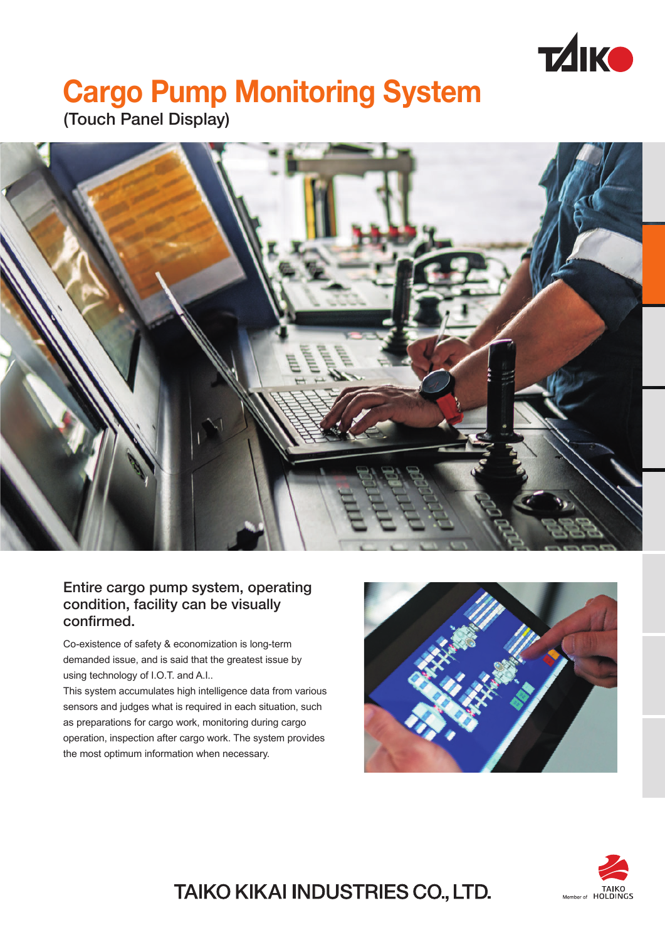

# **Cargo Pump Monitoring System**

(Touch Panel Display)



#### Entire cargo pump system, operating condition, facility can be visually confirmed.

Co-existence of safety & economization is long-term demanded issue, and is said that the greatest issue by using technology of I.O.T. and A.I..

This system accumulates high intelligence data from various sensors and judges what is required in each situation, such as preparations for cargo work, monitoring during cargo operation, inspection after cargo work. The system provides the most optimum information when necessary.





## TAIKO KIKAI INDUSTRIES CO., LTD.